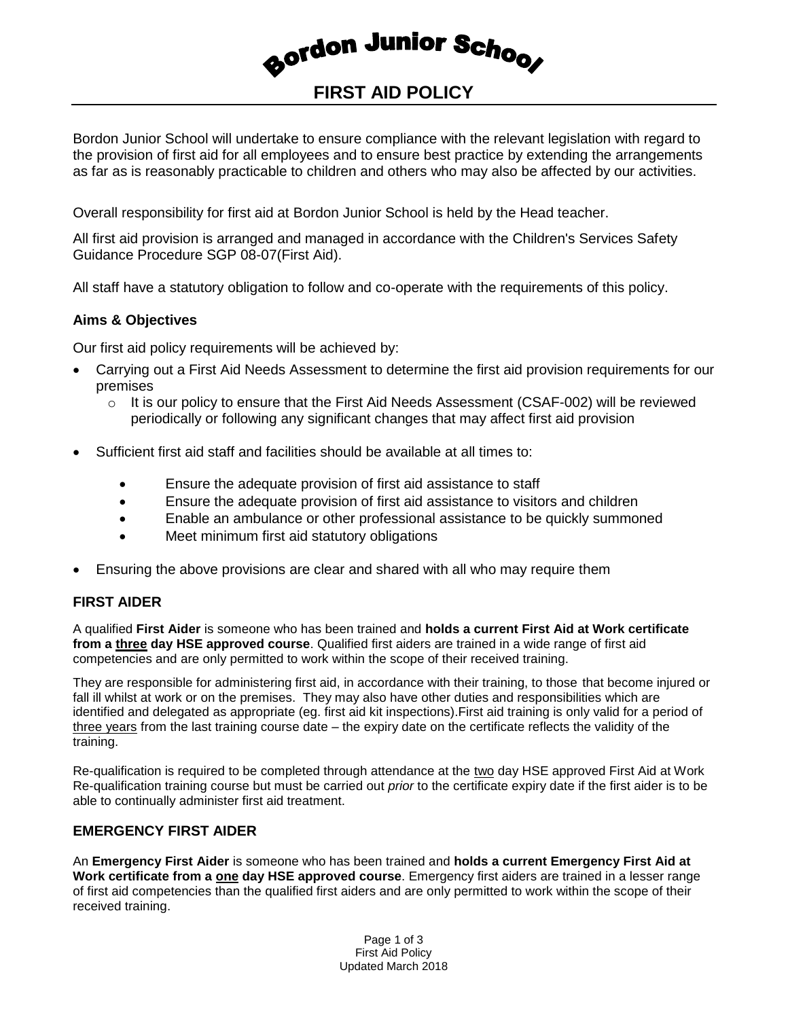Bordon Junior Scho<sub>o</sub>,

# **FIRST AID POLICY**

Bordon Junior School will undertake to ensure compliance with the relevant legislation with regard to the provision of first aid for all employees and to ensure best practice by extending the arrangements as far as is reasonably practicable to children and others who may also be affected by our activities.

Overall responsibility for first aid at Bordon Junior School is held by the Head teacher.

All first aid provision is arranged and managed in accordance with the Children's Services Safety Guidance Procedure SGP 08-07(First Aid).

All staff have a statutory obligation to follow and co-operate with the requirements of this policy.

### **Aims & Objectives**

Our first aid policy requirements will be achieved by:

- Carrying out a First Aid Needs Assessment to determine the first aid provision requirements for our premises
	- $\circ$  It is our policy to ensure that the First Aid Needs Assessment (CSAF-002) will be reviewed periodically or following any significant changes that may affect first aid provision
- Sufficient first aid staff and facilities should be available at all times to:
	- Ensure the adequate provision of first aid assistance to staff
	- Ensure the adequate provision of first aid assistance to visitors and children
	- Enable an ambulance or other professional assistance to be quickly summoned
	- Meet minimum first aid statutory obligations
- Ensuring the above provisions are clear and shared with all who may require them

## **FIRST AIDER**

A qualified **First Aider** is someone who has been trained and **holds a current First Aid at Work certificate from a three day HSE approved course**. Qualified first aiders are trained in a wide range of first aid competencies and are only permitted to work within the scope of their received training.

They are responsible for administering first aid, in accordance with their training, to those that become injured or fall ill whilst at work or on the premises. They may also have other duties and responsibilities which are identified and delegated as appropriate (eg. first aid kit inspections).First aid training is only valid for a period of three years from the last training course date – the expiry date on the certificate reflects the validity of the training.

Re-qualification is required to be completed through attendance at the two day HSE approved First Aid at Work Re-qualification training course but must be carried out *prior* to the certificate expiry date if the first aider is to be able to continually administer first aid treatment.

## **EMERGENCY FIRST AIDER**

An **Emergency First Aider** is someone who has been trained and **holds a current Emergency First Aid at Work certificate from a one day HSE approved course**. Emergency first aiders are trained in a lesser range of first aid competencies than the qualified first aiders and are only permitted to work within the scope of their received training.

> Page 1 of 3 First Aid Policy Updated March 2018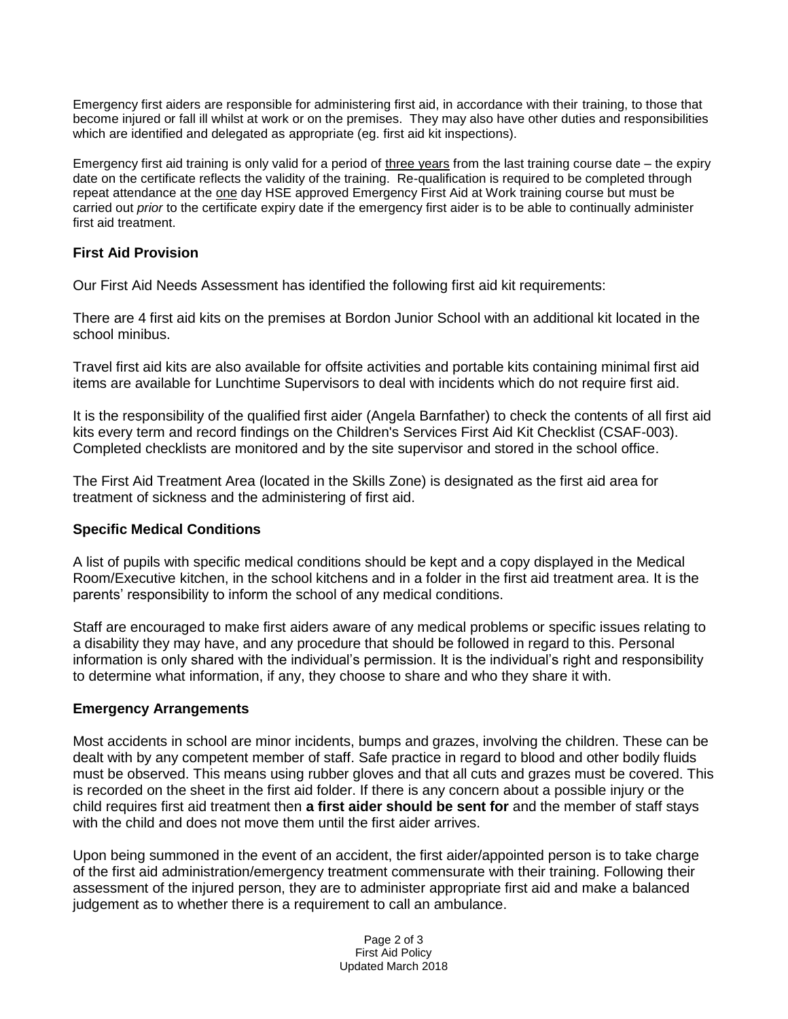Emergency first aiders are responsible for administering first aid, in accordance with their training, to those that become injured or fall ill whilst at work or on the premises. They may also have other duties and responsibilities which are identified and delegated as appropriate (eg. first aid kit inspections).

Emergency first aid training is only valid for a period of three years from the last training course date – the expiry date on the certificate reflects the validity of the training. Re-qualification is required to be completed through repeat attendance at the one day HSE approved Emergency First Aid at Work training course but must be carried out *prior* to the certificate expiry date if the emergency first aider is to be able to continually administer first aid treatment.

### **First Aid Provision**

Our First Aid Needs Assessment has identified the following first aid kit requirements:

There are 4 first aid kits on the premises at Bordon Junior School with an additional kit located in the school minibus.

Travel first aid kits are also available for offsite activities and portable kits containing minimal first aid items are available for Lunchtime Supervisors to deal with incidents which do not require first aid.

It is the responsibility of the qualified first aider (Angela Barnfather) to check the contents of all first aid kits every term and record findings on the Children's Services First Aid Kit Checklist (CSAF-003). Completed checklists are monitored and by the site supervisor and stored in the school office.

The First Aid Treatment Area (located in the Skills Zone) is designated as the first aid area for treatment of sickness and the administering of first aid.

#### **Specific Medical Conditions**

A list of pupils with specific medical conditions should be kept and a copy displayed in the Medical Room/Executive kitchen, in the school kitchens and in a folder in the first aid treatment area. It is the parents' responsibility to inform the school of any medical conditions.

Staff are encouraged to make first aiders aware of any medical problems or specific issues relating to a disability they may have, and any procedure that should be followed in regard to this. Personal information is only shared with the individual's permission. It is the individual's right and responsibility to determine what information, if any, they choose to share and who they share it with.

#### **Emergency Arrangements**

Most accidents in school are minor incidents, bumps and grazes, involving the children. These can be dealt with by any competent member of staff. Safe practice in regard to blood and other bodily fluids must be observed. This means using rubber gloves and that all cuts and grazes must be covered. This is recorded on the sheet in the first aid folder. If there is any concern about a possible injury or the child requires first aid treatment then **a first aider should be sent for** and the member of staff stays with the child and does not move them until the first aider arrives.

Upon being summoned in the event of an accident, the first aider/appointed person is to take charge of the first aid administration/emergency treatment commensurate with their training. Following their assessment of the injured person, they are to administer appropriate first aid and make a balanced judgement as to whether there is a requirement to call an ambulance.

> Page 2 of 3 First Aid Policy Updated March 2018